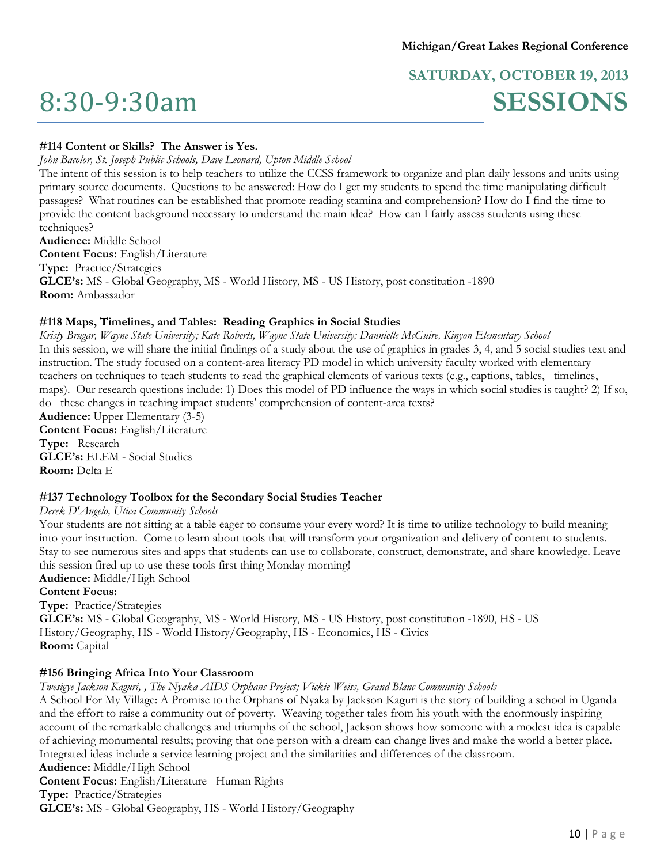# 8:30-9:30am

# **SATURDAY, OCTOBER 19, 2013 SESSIONS**

#### **#114 Content or Skills? The Answer is Yes.**

*John Bacolor, St. Joseph Public Schools, Dave Leonard, Upton Middle School*

The intent of this session is to help teachers to utilize the CCSS framework to organize and plan daily lessons and units using primary source documents. Questions to be answered: How do I get my students to spend the time manipulating difficult passages? What routines can be established that promote reading stamina and comprehension? How do I find the time to provide the content background necessary to understand the main idea? How can I fairly assess students using these techniques?

**Audience:** Middle School **Content Focus:** English/Literature **Type:** Practice/Strategies **GLCE's:** MS - Global Geography, MS - World History, MS - US History, post constitution -1890 **Room:** Ambassador

#### **#118 Maps, Timelines, and Tables: Reading Graphics in Social Studies**

*Kristy Brugar, Wayne State University; Kate Roberts, Wayne State University; Dannielle McGuire, Kinyon Elementary School* In this session, we will share the initial findings of a study about the use of graphics in grades 3, 4, and 5 social studies text and instruction. The study focused on a content-area literacy PD model in which university faculty worked with elementary teachers on techniques to teach students to read the graphical elements of various texts (e.g., captions, tables, timelines, maps). Our research questions include: 1) Does this model of PD influence the ways in which social studies is taught? 2) If so, do these changes in teaching impact students' comprehension of content-area texts? **Audience:** Upper Elementary (3-5) **Content Focus:** English/Literature **Type:** Research **GLCE's:** ELEM - Social Studies **Room:** Delta E

#### **#137 Technology Toolbox for the Secondary Social Studies Teacher**

#### *Derek D'Angelo, Utica Community Schools*

Your students are not sitting at a table eager to consume your every word? It is time to utilize technology to build meaning into your instruction. Come to learn about tools that will transform your organization and delivery of content to students. Stay to see numerous sites and apps that students can use to collaborate, construct, demonstrate, and share knowledge. Leave this session fired up to use these tools first thing Monday morning! **Audience:** Middle/High School

# **Content Focus:**

**Type:** Practice/Strategies

**GLCE's:** MS - Global Geography, MS - World History, MS - US History, post constitution -1890, HS - US History/Geography, HS - World History/Geography, HS - Economics, HS - Civics **Room:** Capital

#### **#156 Bringing Africa Into Your Classroom**

*Twesigye Jackson Kaguri, , The Nyaka AIDS Orphans Project; Vickie Weiss, Grand Blanc Community Schools*

A School For My Village: A Promise to the Orphans of Nyaka by Jackson Kaguri is the story of building a school in Uganda and the effort to raise a community out of poverty. Weaving together tales from his youth with the enormously inspiring account of the remarkable challenges and triumphs of the school, Jackson shows how someone with a modest idea is capable of achieving monumental results; proving that one person with a dream can change lives and make the world a better place. Integrated ideas include a service learning project and the similarities and differences of the classroom. **Audience:** Middle/High School

**Content Focus:** English/Literature Human Rights **Type:** Practice/Strategies **GLCE's:** MS - Global Geography, HS - World History/Geography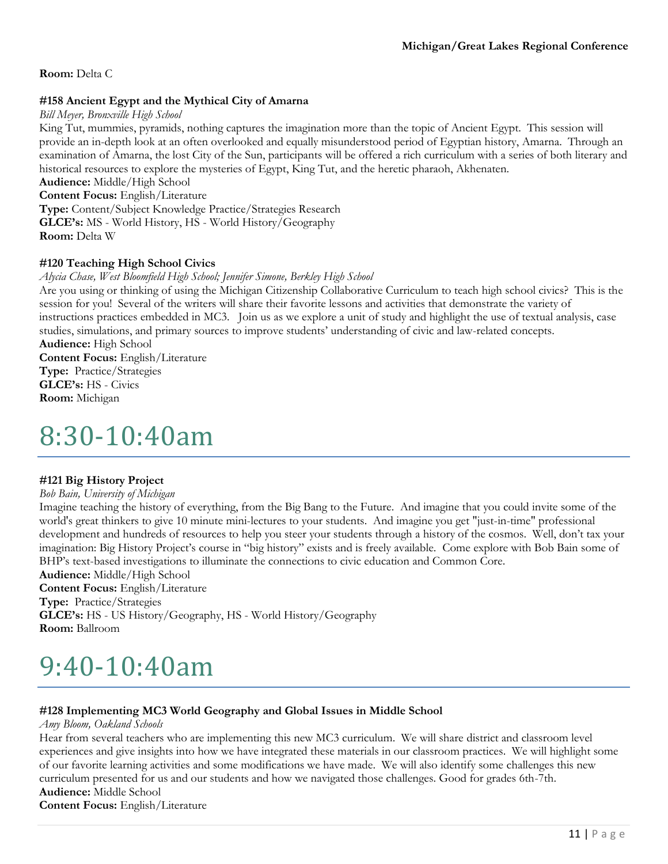**Room:** Delta C

### **#158 Ancient Egypt and the Mythical City of Amarna**

*Bill Meyer, Bronxville High School*

King Tut, mummies, pyramids, nothing captures the imagination more than the topic of Ancient Egypt. This session will provide an in-depth look at an often overlooked and equally misunderstood period of Egyptian history, Amarna. Through an examination of Amarna, the lost City of the Sun, participants will be offered a rich curriculum with a series of both literary and historical resources to explore the mysteries of Egypt, King Tut, and the heretic pharaoh, Akhenaten.

**Audience:** Middle/High School **Content Focus:** English/Literature

**Type:** Content/Subject Knowledge Practice/Strategies Research **GLCE's:** MS - World History, HS - World History/Geography

**Room:** Delta W

### **#120 Teaching High School Civics**

*Alycia Chase, West Bloomfield High School; Jennifer Simone, Berkley High School*

Are you using or thinking of using the Michigan Citizenship Collaborative Curriculum to teach high school civics? This is the session for you! Several of the writers will share their favorite lessons and activities that demonstrate the variety of instructions practices embedded in MC3. Join us as we explore a unit of study and highlight the use of textual analysis, case studies, simulations, and primary sources to improve students' understanding of civic and law-related concepts. **Audience:** High School

**Content Focus:** English/Literature **Type:** Practice/Strategies **GLCE's:** HS - Civics **Room:** Michigan

# 8:30-10:40am

#### **#121 Big History Project**

*Bob Bain, University of Michigan*

Imagine teaching the history of everything, from the Big Bang to the Future. And imagine that you could invite some of the world's great thinkers to give 10 minute mini-lectures to your students. And imagine you get "just-in-time" professional development and hundreds of resources to help you steer your students through a history of the cosmos. Well, don't tax your imagination: Big History Project's course in "big history" exists and is freely available. Come explore with Bob Bain some of BHP's text-based investigations to illuminate the connections to civic education and Common Core.

**Audience:** Middle/High School **Content Focus:** English/Literature **Type:** Practice/Strategies **GLCE's:** HS - US History/Geography, HS - World History/Geography **Room:** Ballroom

# 9:40-10:40am

# **#128 Implementing MC3 World Geography and Global Issues in Middle School**

*Amy Bloom, Oakland Schools*

Hear from several teachers who are implementing this new MC3 curriculum. We will share district and classroom level experiences and give insights into how we have integrated these materials in our classroom practices. We will highlight some of our favorite learning activities and some modifications we have made. We will also identify some challenges this new curriculum presented for us and our students and how we navigated those challenges. Good for grades 6th-7th. **Audience:** Middle School

**Content Focus:** English/Literature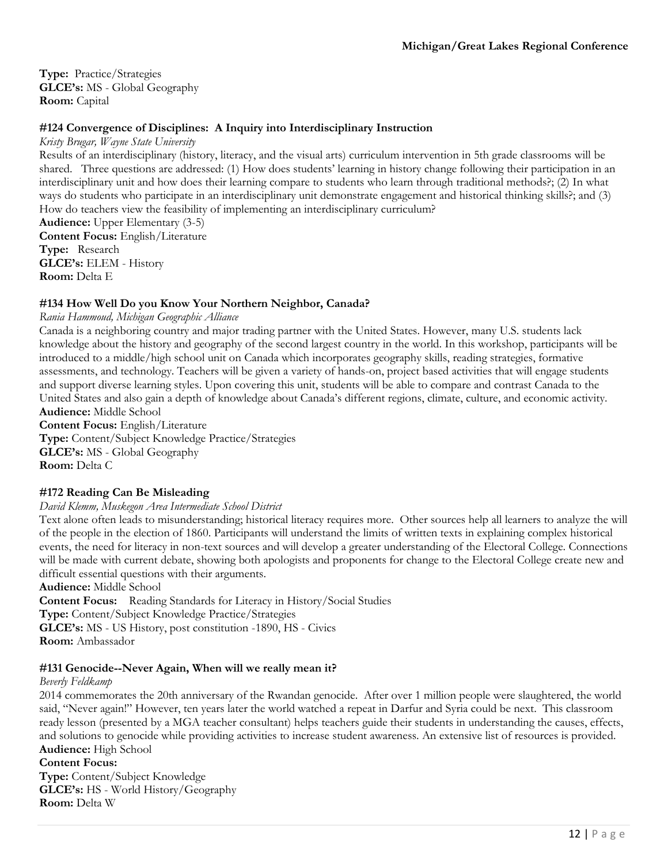**Type:** Practice/Strategies **GLCE's:** MS - Global Geography **Room:** Capital

### **#124 Convergence of Disciplines: A Inquiry into Interdisciplinary Instruction**

*Kristy Brugar, Wayne State University*

Results of an interdisciplinary (history, literacy, and the visual arts) curriculum intervention in 5th grade classrooms will be shared. Three questions are addressed: (1) How does students' learning in history change following their participation in an interdisciplinary unit and how does their learning compare to students who learn through traditional methods?; (2) In what ways do students who participate in an interdisciplinary unit demonstrate engagement and historical thinking skills?; and (3) How do teachers view the feasibility of implementing an interdisciplinary curriculum?

**Audience:** Upper Elementary (3-5) **Content Focus:** English/Literature **Type:** Research **GLCE's:** ELEM - History **Room:** Delta E

#### **#134 How Well Do you Know Your Northern Neighbor, Canada?**

*Rania Hammoud, Michigan Geographic Alliance*

Canada is a neighboring country and major trading partner with the United States. However, many U.S. students lack knowledge about the history and geography of the second largest country in the world. In this workshop, participants will be introduced to a middle/high school unit on Canada which incorporates geography skills, reading strategies, formative assessments, and technology. Teachers will be given a variety of hands-on, project based activities that will engage students and support diverse learning styles. Upon covering this unit, students will be able to compare and contrast Canada to the United States and also gain a depth of knowledge about Canada's different regions, climate, culture, and economic activity. **Audience:** Middle School

**Content Focus:** English/Literature **Type:** Content/Subject Knowledge Practice/Strategies **GLCE's:** MS - Global Geography **Room:** Delta C

#### **#172 Reading Can Be Misleading**

#### *David Klemm, Muskegon Area Intermediate School District*

Text alone often leads to misunderstanding; historical literacy requires more. Other sources help all learners to analyze the will of the people in the election of 1860. Participants will understand the limits of written texts in explaining complex historical events, the need for literacy in non-text sources and will develop a greater understanding of the Electoral College. Connections will be made with current debate, showing both apologists and proponents for change to the Electoral College create new and difficult essential questions with their arguments.

**Audience:** Middle School

**Content Focus:** Reading Standards for Literacy in History/Social Studies **Type:** Content/Subject Knowledge Practice/Strategies **GLCE's:** MS - US History, post constitution -1890, HS - Civics **Room:** Ambassador

#### **#131 Genocide--Never Again, When will we really mean it?**

#### *Beverly Feldkamp*

2014 commemorates the 20th anniversary of the Rwandan genocide. After over 1 million people were slaughtered, the world said, "Never again!" However, ten years later the world watched a repeat in Darfur and Syria could be next. This classroom ready lesson (presented by a MGA teacher consultant) helps teachers guide their students in understanding the causes, effects, and solutions to genocide while providing activities to increase student awareness. An extensive list of resources is provided. **Audience:** High School

#### **Content Focus:**

**Type:** Content/Subject Knowledge **GLCE's:** HS - World History/Geography **Room:** Delta W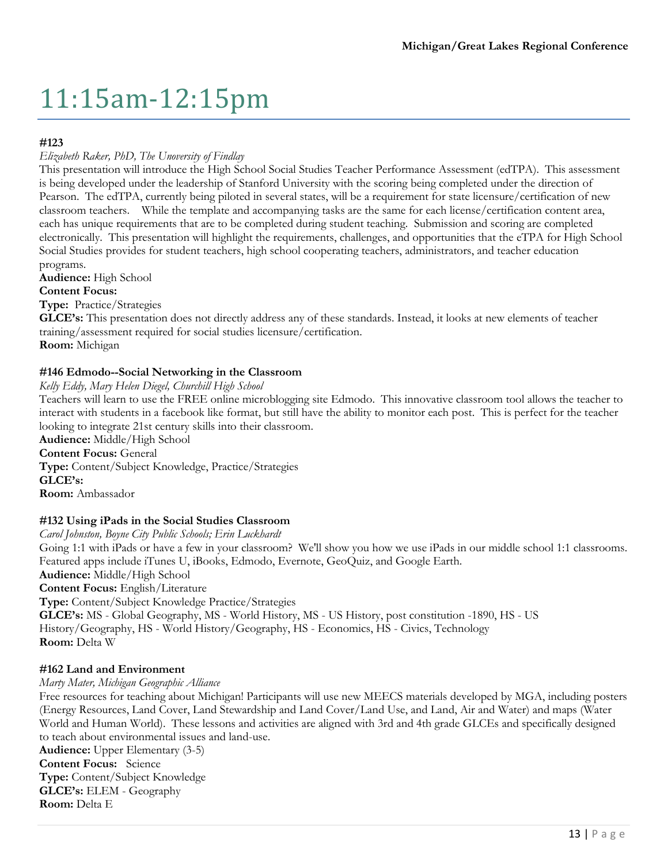# 11:15am-12:15pm

### **#123**

### *Elizabeth Raker, PhD, The Unoversity of Findlay*

This presentation will introduce the High School Social Studies Teacher Performance Assessment (edTPA). This assessment is being developed under the leadership of Stanford University with the scoring being completed under the direction of Pearson. The edTPA, currently being piloted in several states, will be a requirement for state licensure/certification of new classroom teachers. While the template and accompanying tasks are the same for each license/certification content area, each has unique requirements that are to be completed during student teaching. Submission and scoring are completed electronically. This presentation will highlight the requirements, challenges, and opportunities that the eTPA for High School Social Studies provides for student teachers, high school cooperating teachers, administrators, and teacher education programs.

**Audience:** High School

### **Content Focus:**

**Type:** Practice/Strategies

**GLCE's:** This presentation does not directly address any of these standards. Instead, it looks at new elements of teacher training/assessment required for social studies licensure/certification. **Room:** Michigan

### **#146 Edmodo--Social Networking in the Classroom**

#### *Kelly Eddy, Mary Helen Diegel, Churchill High School*

Teachers will learn to use the FREE online microblogging site Edmodo. This innovative classroom tool allows the teacher to interact with students in a facebook like format, but still have the ability to monitor each post. This is perfect for the teacher looking to integrate 21st century skills into their classroom.

**Audience:** Middle/High School **Content Focus:** General **Type:** Content/Subject Knowledge, Practice/Strategies **GLCE's: Room:** Ambassador

#### **#132 Using iPads in the Social Studies Classroom**

*Carol Johnston, Boyne City Public Schools; Erin Luckhardt* Going 1:1 with iPads or have a few in your classroom? We'll show you how we use iPads in our middle school 1:1 classrooms. Featured apps include iTunes U, iBooks, Edmodo, Evernote, GeoQuiz, and Google Earth. **Audience:** Middle/High School **Content Focus:** English/Literature **Type:** Content/Subject Knowledge Practice/Strategies **GLCE's:** MS - Global Geography, MS - World History, MS - US History, post constitution -1890, HS - US History/Geography, HS - World History/Geography, HS - Economics, HS - Civics, Technology **Room:** Delta W

#### **#162 Land and Environment**

*Marty Mater, Michigan Geographic Alliance*

Free resources for teaching about Michigan! Participants will use new MEECS materials developed by MGA, including posters (Energy Resources, Land Cover, Land Stewardship and Land Cover/Land Use, and Land, Air and Water) and maps (Water World and Human World). These lessons and activities are aligned with 3rd and 4th grade GLCEs and specifically designed to teach about environmental issues and land-use. **Audience:** Upper Elementary (3-5) **Content Focus:** Science **Type:** Content/Subject Knowledge

**GLCE's:** ELEM - Geography **Room:** Delta E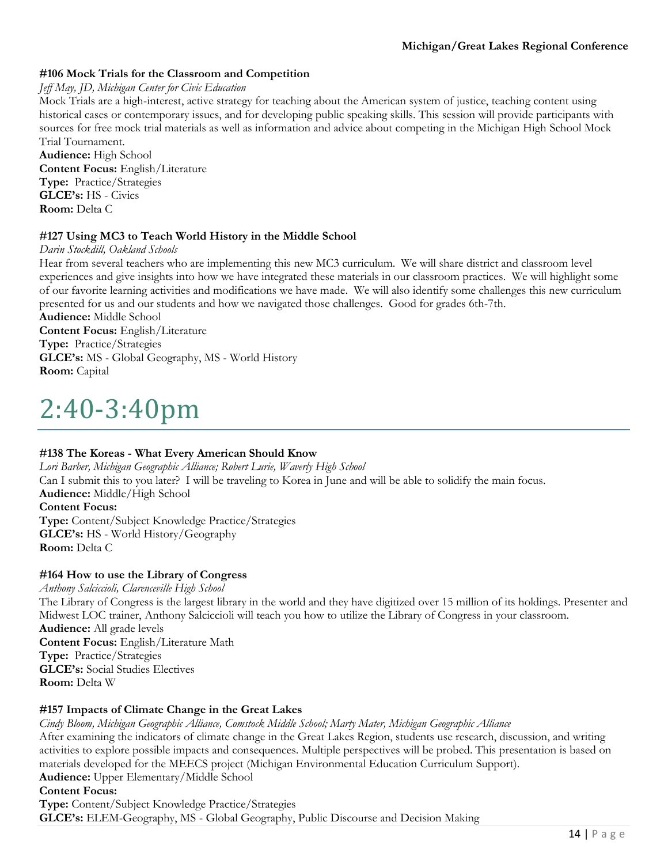# **#106 Mock Trials for the Classroom and Competition**

#### *Jeff May, JD, Michigan Center for Civic Education*

Mock Trials are a high-interest, active strategy for teaching about the American system of justice, teaching content using historical cases or contemporary issues, and for developing public speaking skills. This session will provide participants with sources for free mock trial materials as well as information and advice about competing in the Michigan High School Mock Trial Tournament.

**Audience:** High School **Content Focus:** English/Literature **Type:** Practice/Strategies **GLCE's:** HS - Civics **Room:** Delta C

#### **#127 Using MC3 to Teach World History in the Middle School**

*Darin Stockdill, Oakland Schools*

Hear from several teachers who are implementing this new MC3 curriculum. We will share district and classroom level experiences and give insights into how we have integrated these materials in our classroom practices. We will highlight some of our favorite learning activities and modifications we have made. We will also identify some challenges this new curriculum presented for us and our students and how we navigated those challenges. Good for grades 6th-7th.

**Audience:** Middle School

**Content Focus:** English/Literature **Type:** Practice/Strategies **GLCE's:** MS - Global Geography, MS - World History **Room:** Capital

# 2:40-3:40pm

#### **#138 The Koreas - What Every American Should Know**

*Lori Barber, Michigan Geographic Alliance; Robert Lurie, Waverly High School* Can I submit this to you later? I will be traveling to Korea in June and will be able to solidify the main focus. **Audience:** Middle/High School **Content Focus: Type:** Content/Subject Knowledge Practice/Strategies **GLCE's:** HS - World History/Geography **Room:** Delta C

#### **#164 How to use the Library of Congress**

*Anthony Salciccioli, Clarenceville High School* The Library of Congress is the largest library in the world and they have digitized over 15 million of its holdings. Presenter and Midwest LOC trainer, Anthony Salciccioli will teach you how to utilize the Library of Congress in your classroom. **Audience:** All grade levels **Content Focus:** English/Literature Math **Type:** Practice/Strategies **GLCE's:** Social Studies Electives **Room:** Delta W

#### **#157 Impacts of Climate Change in the Great Lakes**

*Cindy Bloom, Michigan Geographic Alliance, Comstock Middle School; Marty Mater, Michigan Geographic Alliance* After examining the indicators of climate change in the Great Lakes Region, students use research, discussion, and writing

activities to explore possible impacts and consequences. Multiple perspectives will be probed. This presentation is based on materials developed for the MEECS project (Michigan Environmental Education Curriculum Support).

**Audience:** Upper Elementary/Middle School

**Content Focus:** 

**Type:** Content/Subject Knowledge Practice/Strategies **GLCE's:** ELEM-Geography, MS - Global Geography, Public Discourse and Decision Making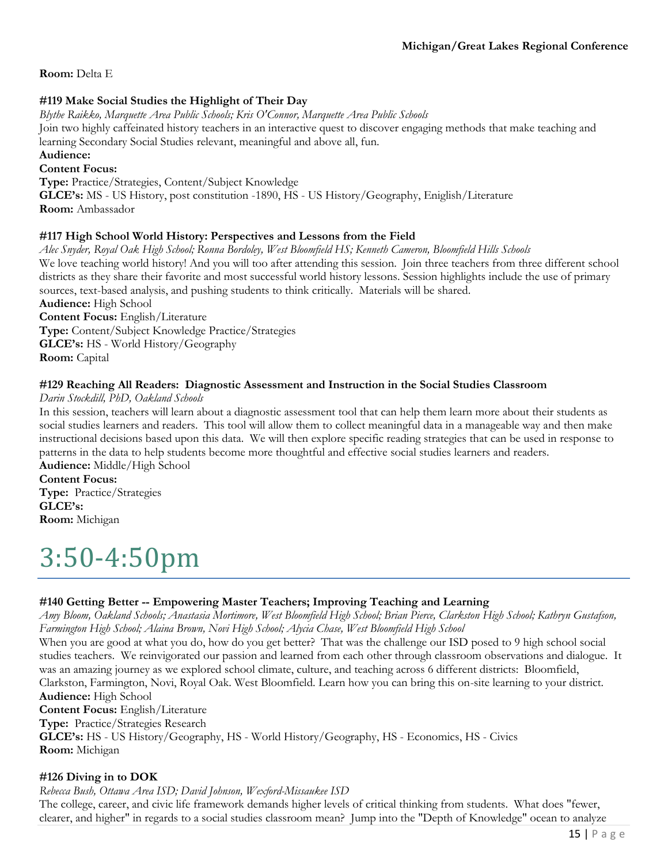**Room:** Delta E

# **#119 Make Social Studies the Highlight of Their Day**

*Blythe Raikko, Marquette Area Public Schools; Kris O'Connor, Marquette Area Public Schools*

Join two highly caffeinated history teachers in an interactive quest to discover engaging methods that make teaching and learning Secondary Social Studies relevant, meaningful and above all, fun.

# **Audience:**

#### **Content Focus:**

**Type:** Practice/Strategies, Content/Subject Knowledge

**GLCE's:** MS - US History, post constitution -1890, HS - US History/Geography, Eniglish/Literature **Room:** Ambassador

#### **#117 High School World History: Perspectives and Lessons from the Field**

*Alec Snyder, Royal Oak High School; Ronna Bordoley, West Bloomfield HS; Kenneth Cameron, Bloomfield Hills Schools* We love teaching world history! And you will too after attending this session. Join three teachers from three different school districts as they share their favorite and most successful world history lessons. Session highlights include the use of primary sources, text-based analysis, and pushing students to think critically. Materials will be shared.

**Audience:** High School

**Content Focus:** English/Literature **Type:** Content/Subject Knowledge Practice/Strategies **GLCE's:** HS - World History/Geography **Room:** Capital

### **#129 Reaching All Readers: Diagnostic Assessment and Instruction in the Social Studies Classroom**

*Darin Stockdill, PhD, Oakland Schools*

In this session, teachers will learn about a diagnostic assessment tool that can help them learn more about their students as social studies learners and readers. This tool will allow them to collect meaningful data in a manageable way and then make instructional decisions based upon this data. We will then explore specific reading strategies that can be used in response to patterns in the data to help students become more thoughtful and effective social studies learners and readers. **Audience:** Middle/High School

# **Content Focus:**

**Type:** Practice/Strategies **GLCE's: Room:** Michigan

# 3:50-4:50pm

# **#140 Getting Better -- Empowering Master Teachers; Improving Teaching and Learning**

*Amy Bloom, Oakland Schools; Anastasia Mortimore, West Bloomfield High School; Brian Pierce, Clarkston High School; Kathryn Gustafson, Farmington High School; Alaina Brown, Novi High School; Alycia Chase, West Bloomfield High School*

When you are good at what you do, how do you get better? That was the challenge our ISD posed to 9 high school social studies teachers. We reinvigorated our passion and learned from each other through classroom observations and dialogue. It was an amazing journey as we explored school climate, culture, and teaching across 6 different districts: Bloomfield, Clarkston, Farmington, Novi, Royal Oak. West Bloomfield. Learn how you can bring this on-site learning to your district. **Audience:** High School

**Content Focus:** English/Literature

**Type:** Practice/Strategies Research

**GLCE's:** HS - US History/Geography, HS - World History/Geography, HS - Economics, HS - Civics **Room:** Michigan

#### **#126 Diving in to DOK**

*Rebecca Bush, Ottawa Area ISD; David Johnson, Wexford-Missaukee ISD* The college, career, and civic life framework demands higher levels of critical thinking from students. What does "fewer, clearer, and higher" in regards to a social studies classroom mean? Jump into the "Depth of Knowledge" ocean to analyze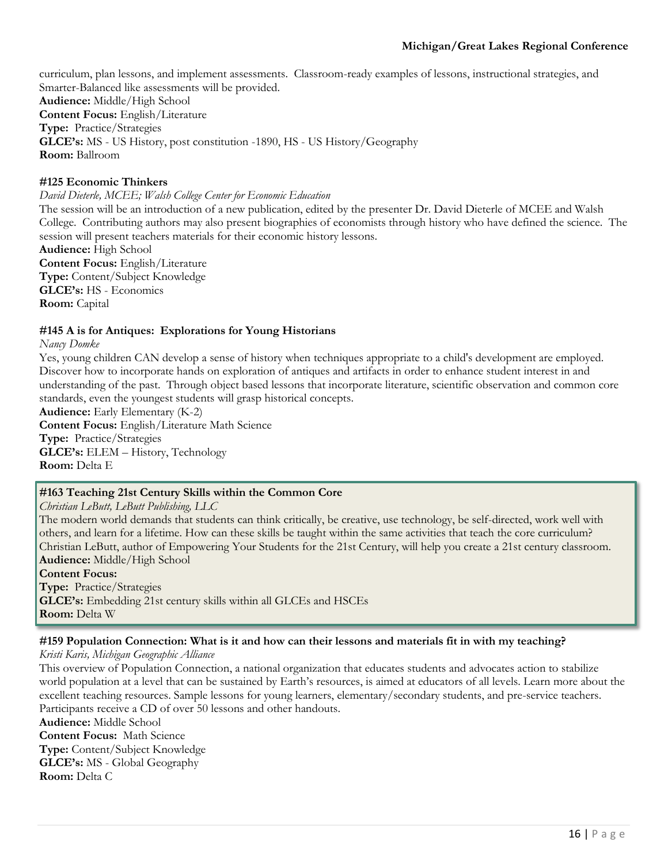curriculum, plan lessons, and implement assessments. Classroom-ready examples of lessons, instructional strategies, and Smarter-Balanced like assessments will be provided. **Audience:** Middle/High School **Content Focus:** English/Literature **Type:** Practice/Strategies **GLCE's:** MS - US History, post constitution -1890, HS - US History/Geography **Room:** Ballroom

#### **#125 Economic Thinkers**

*David Dieterle, MCEE; Walsh College Center for Economic Education*

The session will be an introduction of a new publication, edited by the presenter Dr. David Dieterle of MCEE and Walsh College. Contributing authors may also present biographies of economists through history who have defined the science. The session will present teachers materials for their economic history lessons.

**Audience:** High School **Content Focus:** English/Literature **Type:** Content/Subject Knowledge **GLCE's:** HS - Economics **Room:** Capital

#### **#145 A is for Antiques: Explorations for Young Historians**

*Nancy Domke*

Yes, young children CAN develop a sense of history when techniques appropriate to a child's development are employed. Discover how to incorporate hands on exploration of antiques and artifacts in order to enhance student interest in and understanding of the past. Through object based lessons that incorporate literature, scientific observation and common core standards, even the youngest students will grasp historical concepts.

**Audience:** Early Elementary (K-2) **Content Focus:** English/Literature Math Science **Type:** Practice/Strategies **GLCE's:** ELEM – History, Technology

**Room:** Delta E

#### **#163 Teaching 21st Century Skills within the Common Core**

*Christian LeButt, LeButt Publishing, LLC*

The modern world demands that students can think critically, be creative, use technology, be self-directed, work well with others, and learn for a lifetime. How can these skills be taught within the same activities that teach the core curriculum? Christian LeButt, author of Empowering Your Students for the 21st Century, will help you create a 21st century classroom. **Audience:** Middle/High School

#### **Content Focus:**

**Type:** Practice/Strategies **GLCE's:** Embedding 21st century skills within all GLCEs and HSCEs **Room:** Delta W

#### **#159 Population Connection: What is it and how can their lessons and materials fit in with my teaching?**

*Kristi Karis, Michigan Geographic Alliance*

This overview of Population Connection, a national organization that educates students and advocates action to stabilize world population at a level that can be sustained by Earth's resources, is aimed at educators of all levels. Learn more about the excellent teaching resources. Sample lessons for young learners, elementary/secondary students, and pre-service teachers. Participants receive a CD of over 50 lessons and other handouts.

**Audience:** Middle School **Content Focus:** Math Science **Type:** Content/Subject Knowledge **GLCE's:** MS - Global Geography **Room:** Delta C